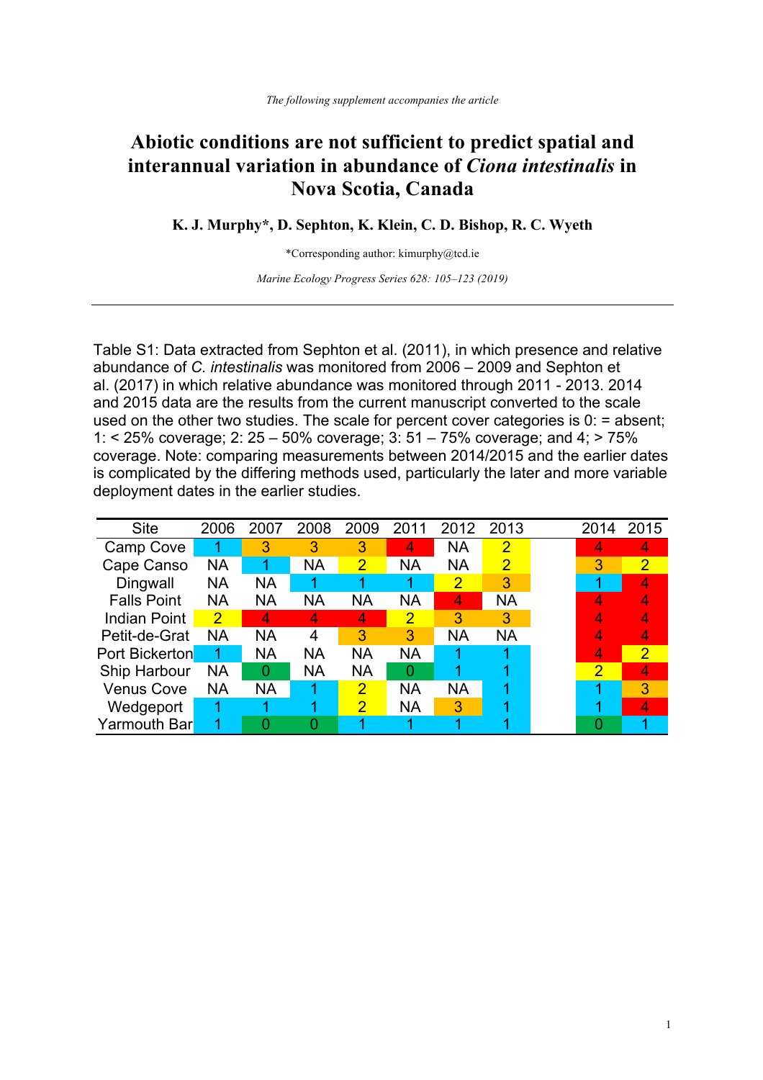## **Abiotic conditions are not sufficient to predict spatial and interannual variation in abundance of** *Ciona intestinalis* **in Nova Scotia, Canada**

**K. J. Murphy\*, D. Sephton, K. Klein, C. D. Bishop, R. C. Wyeth**

\*Corresponding author: kimurphy@tcd.ie

*Marine Ecology Progress Series 628: 105–123 (2019)*

Table S1: Data extracted from Sephton et al. (2011), in which presence and relative abundance of *C. intestinalis* was monitored from 2006 – 2009 and Sephton et al. (2017) in which relative abundance was monitored through 2011 - 2013. 2014 and 2015 data are the results from the current manuscript converted to the scale used on the other two studies. The scale for percent cover categories is  $0$ : = absent; 1: < 25% coverage; 2: 25 – 50% coverage; 3: 51 – 75% coverage; and 4; > 75% coverage. Note: comparing measurements between 2014/2015 and the earlier dates is complicated by the differing methods used, particularly the later and more variable deployment dates in the earlier studies.

| <b>Site</b>           | 2006           | 2007      | 2008      | 2009           | 2011      | 2012           | 2013           | 2014           | 2015           |
|-----------------------|----------------|-----------|-----------|----------------|-----------|----------------|----------------|----------------|----------------|
| Camp Cove             | 1              | 3         | 3         | 3              | 4         | <b>NA</b>      | $\overline{2}$ | 4              | 4              |
| Cape Canso            | <b>NA</b>      |           | <b>NA</b> | 2              | <b>NA</b> | <b>NA</b>      | $\overline{2}$ | 3              | $\overline{2}$ |
| Dingwall              | <b>NA</b>      | <b>NA</b> |           |                |           | $\overline{2}$ | 3              |                |                |
| <b>Falls Point</b>    | <b>NA</b>      | <b>NA</b> | ΝA        | ΝA             | ΝA        | 4              | <b>NA</b>      |                |                |
| <b>Indian Point</b>   | $\overline{2}$ | 4         | 4         | 4              | 2         | 3              | 3              |                |                |
| Petit-de-Grat         | <b>NA</b>      | <b>NA</b> | 4         | 3              | 3         | <b>NA</b>      | <b>NA</b>      | 4              |                |
| <b>Port Bickerton</b> |                | <b>NA</b> | <b>NA</b> | <b>NA</b>      | <b>NA</b> |                |                | 4              | $\overline{2}$ |
| Ship Harbour          | <b>NA</b>      | 0         | <b>NA</b> | <b>NA</b>      | Ω         |                |                | $\overline{2}$ | 4              |
| <b>Venus Cove</b>     | <b>NA</b>      | <b>NA</b> | 1         | $\overline{2}$ | <b>NA</b> | <b>NA</b>      |                | 1              | 3              |
| Wedgeport             |                |           |           | 2              | <b>NA</b> | 3              |                |                | 4              |
| Yarmouth Bar          |                |           |           |                |           |                |                |                |                |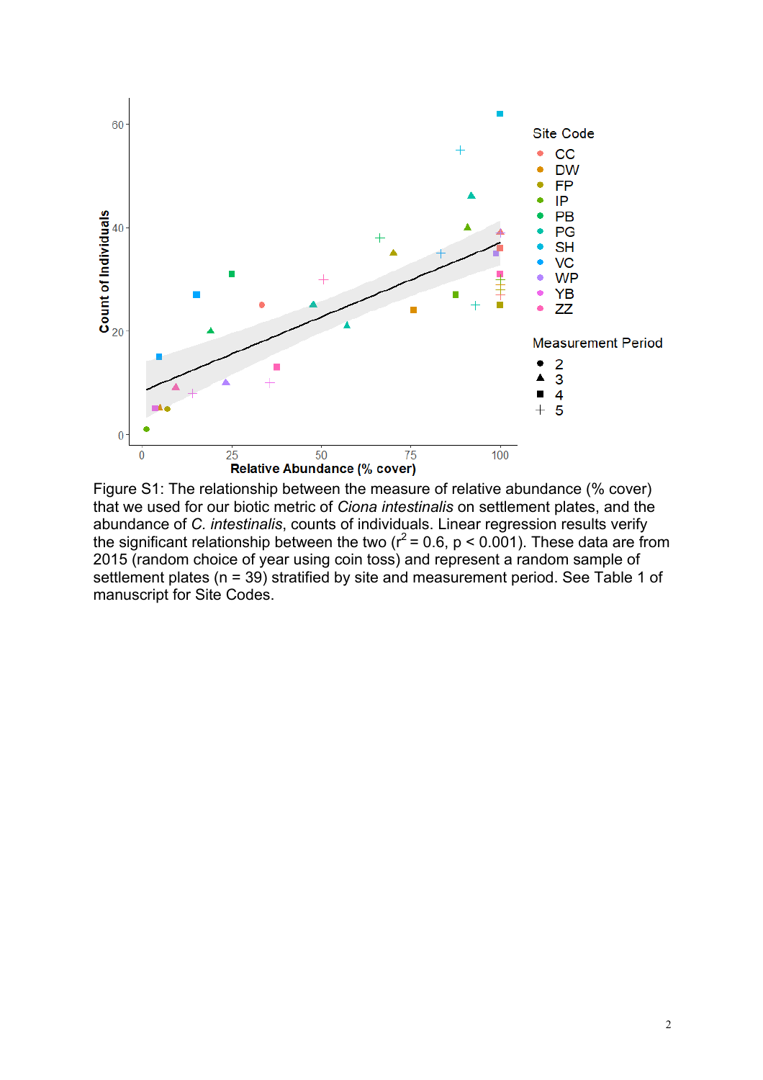

Figure S1: The relationship between the measure of relative abundance (% cover) that we used for our biotic metric of *Ciona intestinalis* on settlement plates, and the abundance of *C. intestinalis*, counts of individuals. Linear regression results verify the significant relationship between the two ( $r^2$  = 0.6, p < 0.001). These data are from 2015 (random choice of year using coin toss) and represent a random sample of settlement plates (n = 39) stratified by site and measurement period. See Table 1 of manuscript for Site Codes.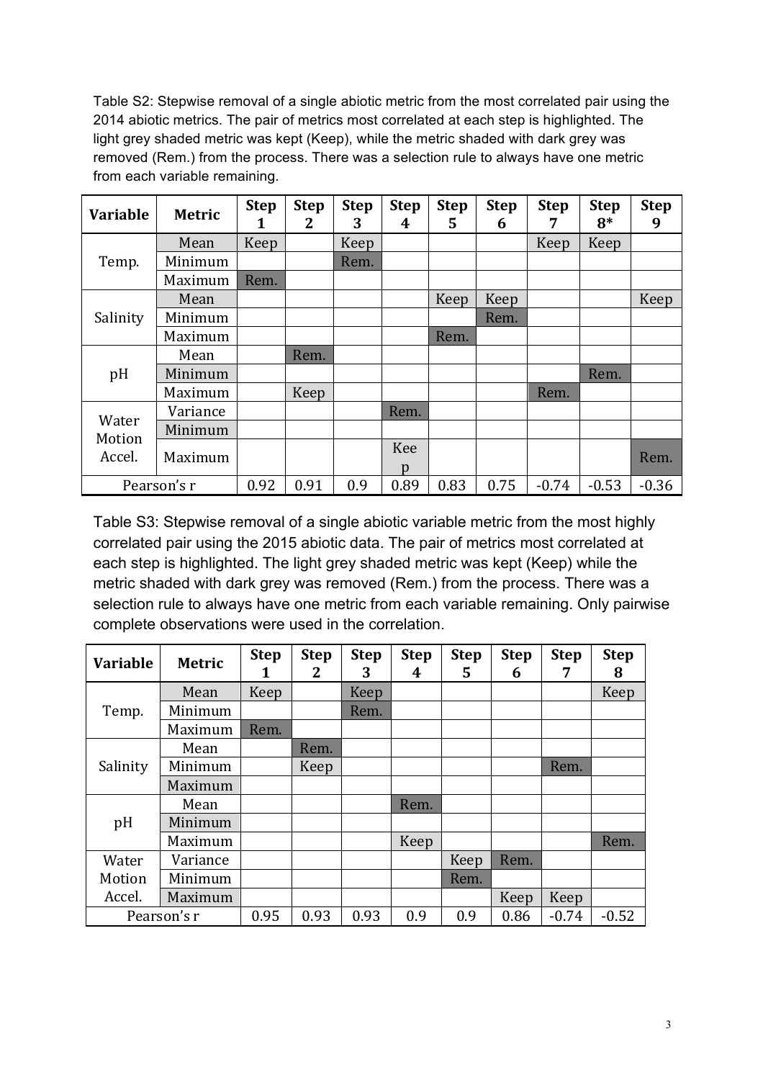Table S2: Stepwise removal of a single abiotic metric from the most correlated pair using the 2014 abiotic metrics. The pair of metrics most correlated at each step is highlighted. The light grey shaded metric was kept (Keep), while the metric shaded with dark grey was removed (Rem.) from the process. There was a selection rule to always have one metric from each variable remaining.

| <b>Variable</b>           | <b>Metric</b> | <b>Step</b><br>1 | <b>Step</b><br>2 | <b>Step</b><br>3 | <b>Step</b><br>4 | <b>Step</b><br>5 | <b>Step</b><br>6 | <b>Step</b>     | <b>Step</b><br>$8*$ | <b>Step</b><br>9 |
|---------------------------|---------------|------------------|------------------|------------------|------------------|------------------|------------------|-----------------|---------------------|------------------|
|                           | Mean          | Keep             |                  | Keep             |                  |                  |                  | Keep            | Keep                |                  |
| Temp.                     | Minimum       |                  |                  | Rem.             |                  |                  |                  |                 |                     |                  |
|                           | Maximum       | Rem.             |                  |                  |                  |                  |                  | Rem.<br>$-0.74$ |                     |                  |
|                           | Mean          |                  |                  |                  |                  | Keep             | Keep             |                 |                     | Keep             |
| Salinity                  | Minimum       |                  |                  |                  |                  |                  | Rem.             |                 |                     |                  |
|                           | Maximum       |                  |                  |                  |                  | Rem.             |                  |                 |                     |                  |
|                           | Mean          |                  | Rem.             |                  |                  |                  |                  |                 |                     |                  |
| pH                        | Minimum       |                  |                  |                  |                  |                  |                  |                 | Rem.                |                  |
|                           | Maximum       |                  | Keep             |                  |                  |                  |                  |                 |                     |                  |
| Water<br>Motion<br>Accel. | Variance      |                  |                  |                  | Rem.             |                  |                  |                 |                     |                  |
|                           | Minimum       |                  |                  |                  |                  |                  |                  |                 |                     |                  |
|                           | Maximum       |                  |                  |                  | Kee<br>p         |                  |                  |                 |                     | Rem.             |
|                           | Pearson's r   | 0.92             | 0.91             | 0.9              | 0.89             | 0.83             | 0.75             |                 | $-0.53$             | $-0.36$          |

Table S3: Stepwise removal of a single abiotic variable metric from the most highly correlated pair using the 2015 abiotic data. The pair of metrics most correlated at each step is highlighted. The light grey shaded metric was kept (Keep) while the metric shaded with dark grey was removed (Rem.) from the process. There was a selection rule to always have one metric from each variable remaining. Only pairwise complete observations were used in the correlation.

| <b>Variable</b> | <b>Metric</b> | <b>Step</b><br>1 | <b>Step</b><br>2 | <b>Step</b><br>3 | <b>Step</b><br>4 | <b>Step</b><br>5 | <b>Step</b><br>6 | <b>Step</b><br>7 | <b>Step</b><br>8 |
|-----------------|---------------|------------------|------------------|------------------|------------------|------------------|------------------|------------------|------------------|
|                 | Mean          | Keep             |                  | Keep             |                  |                  |                  |                  | Keep             |
| Temp.           | Minimum       |                  |                  | Rem.             |                  |                  |                  |                  |                  |
|                 | Maximum       | Rem.             |                  |                  |                  |                  |                  |                  |                  |
| Salinity        | Mean          |                  | Rem.             |                  |                  |                  |                  |                  |                  |
|                 | Minimum       |                  | Keep             |                  |                  |                  |                  | Rem.             |                  |
|                 | Maximum       |                  |                  |                  |                  |                  |                  |                  |                  |
| pH              | Mean          |                  |                  |                  | Rem.             |                  |                  |                  |                  |
|                 | Minimum       |                  |                  |                  |                  |                  |                  |                  |                  |
|                 | Maximum       |                  |                  |                  | Keep             |                  |                  |                  | Rem.             |
| Water           | Variance      |                  |                  |                  |                  | Keep             | Rem.             |                  |                  |
| Motion          | Minimum       |                  |                  |                  |                  | Rem.             |                  |                  |                  |
| Accel.          | Maximum       |                  |                  |                  |                  |                  | Keep             | Keep             |                  |
| Pearson's r     |               | 0.95             | 0.93             | 0.93             | 0.9              | 0.9              | 0.86             | $-0.74$          | $-0.52$          |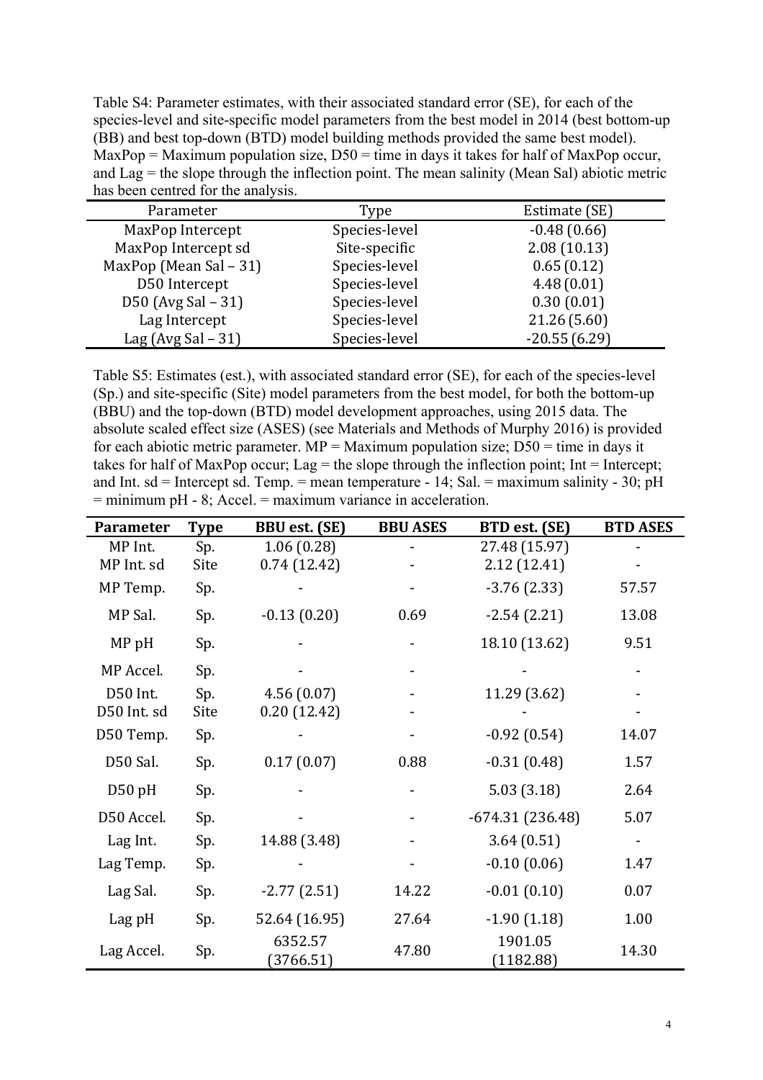Table S4: Parameter estimates, with their associated standard error (SE), for each of the species-level and site-specific model parameters from the best model in 2014 (best bottom-up (BB) and best top-down (BTD) model building methods provided the same best model). MaxPop = Maximum population size,  $D50 =$  time in days it takes for half of MaxPop occur, and  $\text{Lag}$  = the slope through the inflection point. The mean salinity (Mean Sal) abiotic metric has been centred for the analysis.

| Parameter                | Type          | Estimate (SE)  |  |  |
|--------------------------|---------------|----------------|--|--|
| MaxPop Intercept         | Species-level | $-0.48(0.66)$  |  |  |
| MaxPop Intercept sd      | Site-specific | 2.08(10.13)    |  |  |
| MaxPop (Mean Sal $-31$ ) | Species-level | 0.65(0.12)     |  |  |
| D50 Intercept            | Species-level | 4.48(0.01)     |  |  |
| D50 (Avg Sal - 31)       | Species-level | 0.30(0.01)     |  |  |
| Lag Intercept            | Species-level | 21.26(5.60)    |  |  |
| Lag (Avg Sal $-31$ )     | Species-level | $-20.55(6.29)$ |  |  |

Table S5: Estimates (est.), with associated standard error (SE), for each of the species-level (Sp.) and site-specific (Site) model parameters from the best model, for both the bottom-up (BBU) and the top-down (BTD) model development approaches, using 2015 data. The absolute scaled effect size (ASES) (see Materials and Methods of Murphy 2016) is provided for each abiotic metric parameter. MP = Maximum population size;  $D50 =$  time in days it takes for half of MaxPop occur; Lag = the slope through the inflection point; Int = Intercept; and Int. sd = Intercept sd. Temp. = mean temperature - 14; Sal. = maximum salinity - 30; pH  $=$  minimum pH  $-$  8; Accel.  $=$  maximum variance in acceleration.

| <b>Parameter</b> | <b>Type</b> | <b>BBU</b> est. (SE) | <b>BBU ASES</b> | BTD est. (SE)        | <b>BTD ASES</b> |
|------------------|-------------|----------------------|-----------------|----------------------|-----------------|
| MP Int.          | Sp.         | 1.06(0.28)           |                 | 27.48 (15.97)        |                 |
| MP Int. sd       | Site        | 0.74(12.42)          |                 | 2.12(12.41)          |                 |
| MP Temp.         | Sp.         |                      |                 | $-3.76(2.33)$        | 57.57           |
| MP Sal.          | Sp.         | $-0.13(0.20)$        | 0.69            | $-2.54(2.21)$        | 13.08           |
| MP <sub>pH</sub> | Sp.         |                      |                 | 18.10 (13.62)        | 9.51            |
| MP Accel.        | Sp.         |                      |                 |                      |                 |
| D50 Int.         | Sp.         | 4.56(0.07)           |                 | 11.29 (3.62)         |                 |
| D50 Int. sd      | Site        | 0.20(12.42)          |                 |                      |                 |
| D50 Temp.        | Sp.         |                      |                 | $-0.92(0.54)$        | 14.07           |
| D50 Sal.         | Sp.         | 0.17(0.07)           | 0.88            | $-0.31(0.48)$        | 1.57            |
| D50 pH           | Sp.         |                      |                 | 5.03(3.18)           | 2.64            |
| D50 Accel.       | Sp.         |                      |                 | $-674.31(236.48)$    | 5.07            |
| Lag Int.         | Sp.         | 14.88 (3.48)         |                 | 3.64(0.51)           |                 |
| Lag Temp.        | Sp.         |                      |                 | $-0.10(0.06)$        | 1.47            |
| Lag Sal.         | Sp.         | $-2.77(2.51)$        | 14.22           | $-0.01(0.10)$        | 0.07            |
| Lag pH           | Sp.         | 52.64 (16.95)        | 27.64           | $-1.90(1.18)$        | 1.00            |
| Lag Accel.       | Sp.         | 6352.57<br>(3766.51) | 47.80           | 1901.05<br>(1182.88) | 14.30           |